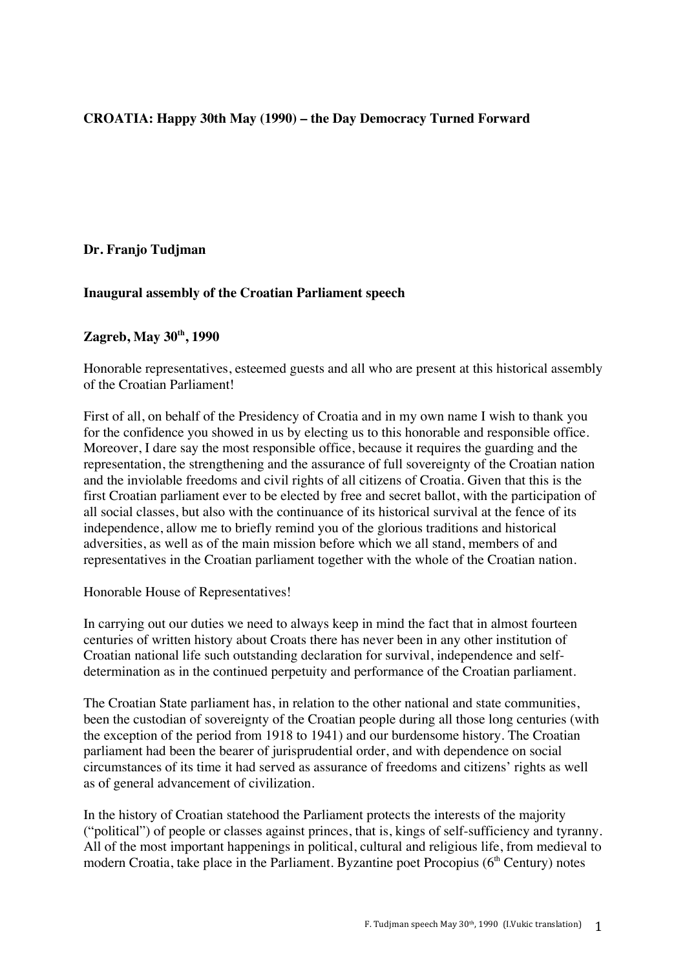# **CROATIA: Happy 30th May (1990) – the Day Democracy Turned Forward**

## **Dr. Franjo Tudjman**

## **Inaugural assembly of the Croatian Parliament speech**

#### **Zagreb, May 30th, 1990**

Honorable representatives, esteemed guests and all who are present at this historical assembly of the Croatian Parliament!

First of all, on behalf of the Presidency of Croatia and in my own name I wish to thank you for the confidence you showed in us by electing us to this honorable and responsible office. Moreover, I dare say the most responsible office, because it requires the guarding and the representation, the strengthening and the assurance of full sovereignty of the Croatian nation and the inviolable freedoms and civil rights of all citizens of Croatia. Given that this is the first Croatian parliament ever to be elected by free and secret ballot, with the participation of all social classes, but also with the continuance of its historical survival at the fence of its independence, allow me to briefly remind you of the glorious traditions and historical adversities, as well as of the main mission before which we all stand, members of and representatives in the Croatian parliament together with the whole of the Croatian nation.

Honorable House of Representatives!

In carrying out our duties we need to always keep in mind the fact that in almost fourteen centuries of written history about Croats there has never been in any other institution of Croatian national life such outstanding declaration for survival, independence and selfdetermination as in the continued perpetuity and performance of the Croatian parliament.

The Croatian State parliament has, in relation to the other national and state communities, been the custodian of sovereignty of the Croatian people during all those long centuries (with the exception of the period from 1918 to 1941) and our burdensome history. The Croatian parliament had been the bearer of jurisprudential order, and with dependence on social circumstances of its time it had served as assurance of freedoms and citizens' rights as well as of general advancement of civilization.

In the history of Croatian statehood the Parliament protects the interests of the majority ("political") of people or classes against princes, that is, kings of self-sufficiency and tyranny. All of the most important happenings in political, cultural and religious life, from medieval to modern Croatia, take place in the Parliament. Byzantine poet Procopius  $(6<sup>th</sup>$  Century) notes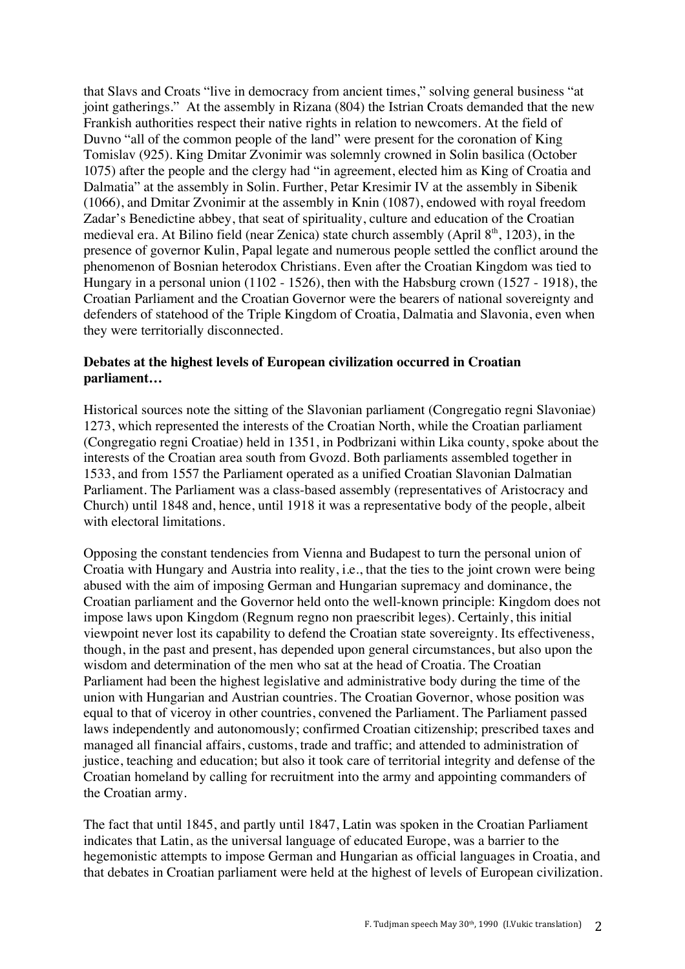that Slavs and Croats "live in democracy from ancient times," solving general business "at joint gatherings." At the assembly in Rizana (804) the Istrian Croats demanded that the new Frankish authorities respect their native rights in relation to newcomers. At the field of Duvno "all of the common people of the land" were present for the coronation of King Tomislav (925). King Dmitar Zvonimir was solemnly crowned in Solin basilica (October 1075) after the people and the clergy had "in agreement, elected him as King of Croatia and Dalmatia" at the assembly in Solin. Further, Petar Kresimir IV at the assembly in Sibenik (1066), and Dmitar Zvonimir at the assembly in Knin (1087), endowed with royal freedom Zadar's Benedictine abbey, that seat of spirituality, culture and education of the Croatian medieval era. At Bilino field (near Zenica) state church assembly (April  $8<sup>th</sup>$ , 1203), in the presence of governor Kulin, Papal legate and numerous people settled the conflict around the phenomenon of Bosnian heterodox Christians. Even after the Croatian Kingdom was tied to Hungary in a personal union (1102 - 1526), then with the Habsburg crown (1527 - 1918), the Croatian Parliament and the Croatian Governor were the bearers of national sovereignty and defenders of statehood of the Triple Kingdom of Croatia, Dalmatia and Slavonia, even when they were territorially disconnected.

## **Debates at the highest levels of European civilization occurred in Croatian parliament…**

Historical sources note the sitting of the Slavonian parliament (Congregatio regni Slavoniae) 1273, which represented the interests of the Croatian North, while the Croatian parliament (Congregatio regni Croatiae) held in 1351, in Podbrizani within Lika county, spoke about the interests of the Croatian area south from Gvozd. Both parliaments assembled together in 1533, and from 1557 the Parliament operated as a unified Croatian Slavonian Dalmatian Parliament. The Parliament was a class-based assembly (representatives of Aristocracy and Church) until 1848 and, hence, until 1918 it was a representative body of the people, albeit with electoral limitations.

Opposing the constant tendencies from Vienna and Budapest to turn the personal union of Croatia with Hungary and Austria into reality, i.e., that the ties to the joint crown were being abused with the aim of imposing German and Hungarian supremacy and dominance, the Croatian parliament and the Governor held onto the well-known principle: Kingdom does not impose laws upon Kingdom (Regnum regno non praescribit leges). Certainly, this initial viewpoint never lost its capability to defend the Croatian state sovereignty. Its effectiveness, though, in the past and present, has depended upon general circumstances, but also upon the wisdom and determination of the men who sat at the head of Croatia. The Croatian Parliament had been the highest legislative and administrative body during the time of the union with Hungarian and Austrian countries. The Croatian Governor, whose position was equal to that of viceroy in other countries, convened the Parliament. The Parliament passed laws independently and autonomously; confirmed Croatian citizenship; prescribed taxes and managed all financial affairs, customs, trade and traffic; and attended to administration of justice, teaching and education; but also it took care of territorial integrity and defense of the Croatian homeland by calling for recruitment into the army and appointing commanders of the Croatian army.

The fact that until 1845, and partly until 1847, Latin was spoken in the Croatian Parliament indicates that Latin, as the universal language of educated Europe, was a barrier to the hegemonistic attempts to impose German and Hungarian as official languages in Croatia, and that debates in Croatian parliament were held at the highest of levels of European civilization.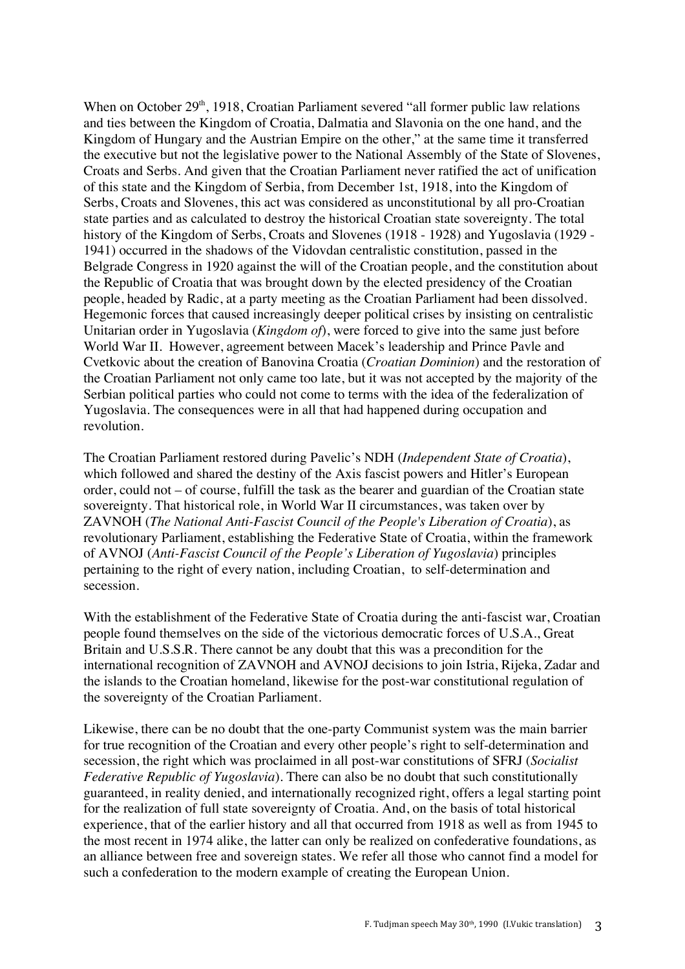When on October  $29<sup>th</sup>$ , 1918, Croatian Parliament severed "all former public law relations" and ties between the Kingdom of Croatia, Dalmatia and Slavonia on the one hand, and the Kingdom of Hungary and the Austrian Empire on the other," at the same time it transferred the executive but not the legislative power to the National Assembly of the State of Slovenes, Croats and Serbs. And given that the Croatian Parliament never ratified the act of unification of this state and the Kingdom of Serbia, from December 1st, 1918, into the Kingdom of Serbs, Croats and Slovenes, this act was considered as unconstitutional by all pro-Croatian state parties and as calculated to destroy the historical Croatian state sovereignty. The total history of the Kingdom of Serbs, Croats and Slovenes (1918 - 1928) and Yugoslavia (1929 - 1941) occurred in the shadows of the Vidovdan centralistic constitution, passed in the Belgrade Congress in 1920 against the will of the Croatian people, and the constitution about the Republic of Croatia that was brought down by the elected presidency of the Croatian people, headed by Radic, at a party meeting as the Croatian Parliament had been dissolved. Hegemonic forces that caused increasingly deeper political crises by insisting on centralistic Unitarian order in Yugoslavia (*Kingdom of*), were forced to give into the same just before World War II. However, agreement between Macek's leadership and Prince Pavle and Cvetkovic about the creation of Banovina Croatia (*Croatian Dominion*) and the restoration of the Croatian Parliament not only came too late, but it was not accepted by the majority of the Serbian political parties who could not come to terms with the idea of the federalization of Yugoslavia. The consequences were in all that had happened during occupation and revolution.

The Croatian Parliament restored during Pavelic's NDH (*Independent State of Croatia*), which followed and shared the destiny of the Axis fascist powers and Hitler's European order, could not – of course, fulfill the task as the bearer and guardian of the Croatian state sovereignty. That historical role, in World War II circumstances, was taken over by ZAVNOH (*The National Anti-Fascist Council of the People's Liberation of Croatia*), as revolutionary Parliament, establishing the Federative State of Croatia, within the framework of AVNOJ (*Anti-Fascist Council of the People's Liberation of Yugoslavia*) principles pertaining to the right of every nation, including Croatian, to self-determination and secession.

With the establishment of the Federative State of Croatia during the anti-fascist war, Croatian people found themselves on the side of the victorious democratic forces of U.S.A., Great Britain and U.S.S.R. There cannot be any doubt that this was a precondition for the international recognition of ZAVNOH and AVNOJ decisions to join Istria, Rijeka, Zadar and the islands to the Croatian homeland, likewise for the post-war constitutional regulation of the sovereignty of the Croatian Parliament.

Likewise, there can be no doubt that the one-party Communist system was the main barrier for true recognition of the Croatian and every other people's right to self-determination and secession, the right which was proclaimed in all post-war constitutions of SFRJ (*Socialist Federative Republic of Yugoslavia*). There can also be no doubt that such constitutionally guaranteed, in reality denied, and internationally recognized right, offers a legal starting point for the realization of full state sovereignty of Croatia. And, on the basis of total historical experience, that of the earlier history and all that occurred from 1918 as well as from 1945 to the most recent in 1974 alike, the latter can only be realized on confederative foundations, as an alliance between free and sovereign states. We refer all those who cannot find a model for such a confederation to the modern example of creating the European Union.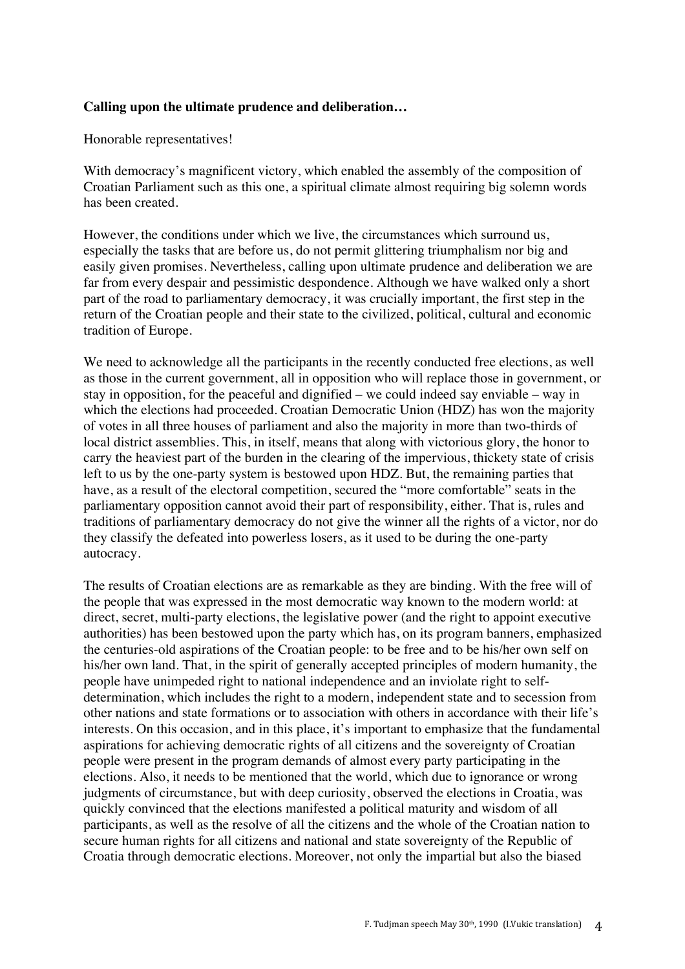#### **Calling upon the ultimate prudence and deliberation…**

Honorable representatives!

With democracy's magnificent victory, which enabled the assembly of the composition of Croatian Parliament such as this one, a spiritual climate almost requiring big solemn words has been created.

However, the conditions under which we live, the circumstances which surround us, especially the tasks that are before us, do not permit glittering triumphalism nor big and easily given promises. Nevertheless, calling upon ultimate prudence and deliberation we are far from every despair and pessimistic despondence. Although we have walked only a short part of the road to parliamentary democracy, it was crucially important, the first step in the return of the Croatian people and their state to the civilized, political, cultural and economic tradition of Europe.

We need to acknowledge all the participants in the recently conducted free elections, as well as those in the current government, all in opposition who will replace those in government, or stay in opposition, for the peaceful and dignified – we could indeed say enviable – way in which the elections had proceeded. Croatian Democratic Union (HDZ) has won the majority of votes in all three houses of parliament and also the majority in more than two-thirds of local district assemblies. This, in itself, means that along with victorious glory, the honor to carry the heaviest part of the burden in the clearing of the impervious, thickety state of crisis left to us by the one-party system is bestowed upon HDZ. But, the remaining parties that have, as a result of the electoral competition, secured the "more comfortable" seats in the parliamentary opposition cannot avoid their part of responsibility, either. That is, rules and traditions of parliamentary democracy do not give the winner all the rights of a victor, nor do they classify the defeated into powerless losers, as it used to be during the one-party autocracy.

The results of Croatian elections are as remarkable as they are binding. With the free will of the people that was expressed in the most democratic way known to the modern world: at direct, secret, multi-party elections, the legislative power (and the right to appoint executive authorities) has been bestowed upon the party which has, on its program banners, emphasized the centuries-old aspirations of the Croatian people: to be free and to be his/her own self on his/her own land. That, in the spirit of generally accepted principles of modern humanity, the people have unimpeded right to national independence and an inviolate right to selfdetermination, which includes the right to a modern, independent state and to secession from other nations and state formations or to association with others in accordance with their life's interests. On this occasion, and in this place, it's important to emphasize that the fundamental aspirations for achieving democratic rights of all citizens and the sovereignty of Croatian people were present in the program demands of almost every party participating in the elections. Also, it needs to be mentioned that the world, which due to ignorance or wrong judgments of circumstance, but with deep curiosity, observed the elections in Croatia, was quickly convinced that the elections manifested a political maturity and wisdom of all participants, as well as the resolve of all the citizens and the whole of the Croatian nation to secure human rights for all citizens and national and state sovereignty of the Republic of Croatia through democratic elections. Moreover, not only the impartial but also the biased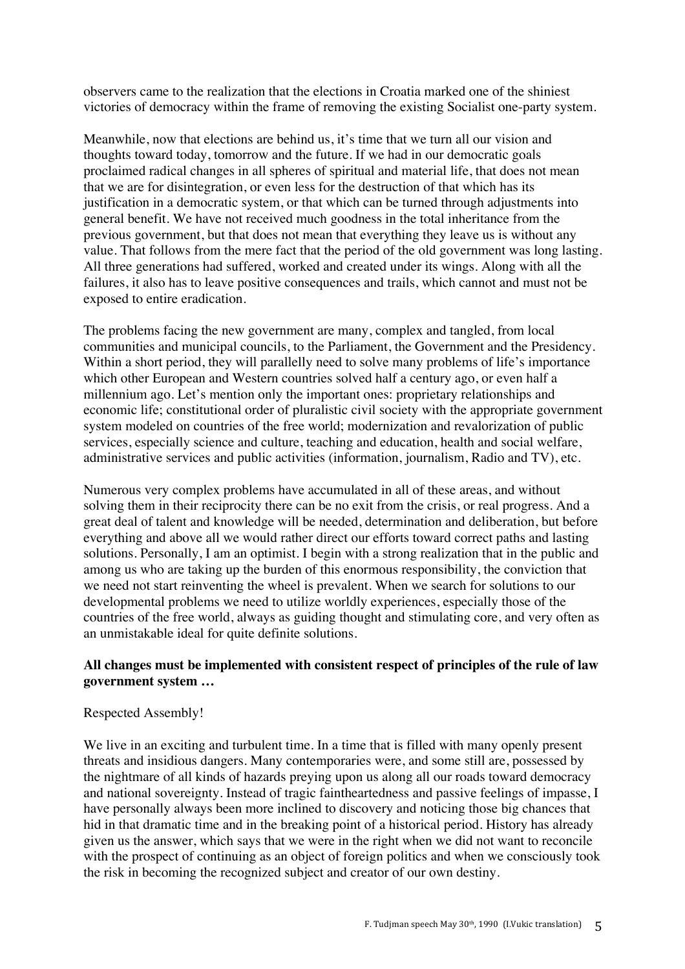observers came to the realization that the elections in Croatia marked one of the shiniest victories of democracy within the frame of removing the existing Socialist one-party system.

Meanwhile, now that elections are behind us, it's time that we turn all our vision and thoughts toward today, tomorrow and the future. If we had in our democratic goals proclaimed radical changes in all spheres of spiritual and material life, that does not mean that we are for disintegration, or even less for the destruction of that which has its justification in a democratic system, or that which can be turned through adjustments into general benefit. We have not received much goodness in the total inheritance from the previous government, but that does not mean that everything they leave us is without any value. That follows from the mere fact that the period of the old government was long lasting. All three generations had suffered, worked and created under its wings. Along with all the failures, it also has to leave positive consequences and trails, which cannot and must not be exposed to entire eradication.

The problems facing the new government are many, complex and tangled, from local communities and municipal councils, to the Parliament, the Government and the Presidency. Within a short period, they will parallelly need to solve many problems of life's importance which other European and Western countries solved half a century ago, or even half a millennium ago. Let's mention only the important ones: proprietary relationships and economic life; constitutional order of pluralistic civil society with the appropriate government system modeled on countries of the free world; modernization and revalorization of public services, especially science and culture, teaching and education, health and social welfare, administrative services and public activities (information, journalism, Radio and TV), etc.

Numerous very complex problems have accumulated in all of these areas, and without solving them in their reciprocity there can be no exit from the crisis, or real progress. And a great deal of talent and knowledge will be needed, determination and deliberation, but before everything and above all we would rather direct our efforts toward correct paths and lasting solutions. Personally, I am an optimist. I begin with a strong realization that in the public and among us who are taking up the burden of this enormous responsibility, the conviction that we need not start reinventing the wheel is prevalent. When we search for solutions to our developmental problems we need to utilize worldly experiences, especially those of the countries of the free world, always as guiding thought and stimulating core, and very often as an unmistakable ideal for quite definite solutions.

## **All changes must be implemented with consistent respect of principles of the rule of law government system …**

#### Respected Assembly!

We live in an exciting and turbulent time. In a time that is filled with many openly present threats and insidious dangers. Many contemporaries were, and some still are, possessed by the nightmare of all kinds of hazards preying upon us along all our roads toward democracy and national sovereignty. Instead of tragic faintheartedness and passive feelings of impasse, I have personally always been more inclined to discovery and noticing those big chances that hid in that dramatic time and in the breaking point of a historical period. History has already given us the answer, which says that we were in the right when we did not want to reconcile with the prospect of continuing as an object of foreign politics and when we consciously took the risk in becoming the recognized subject and creator of our own destiny.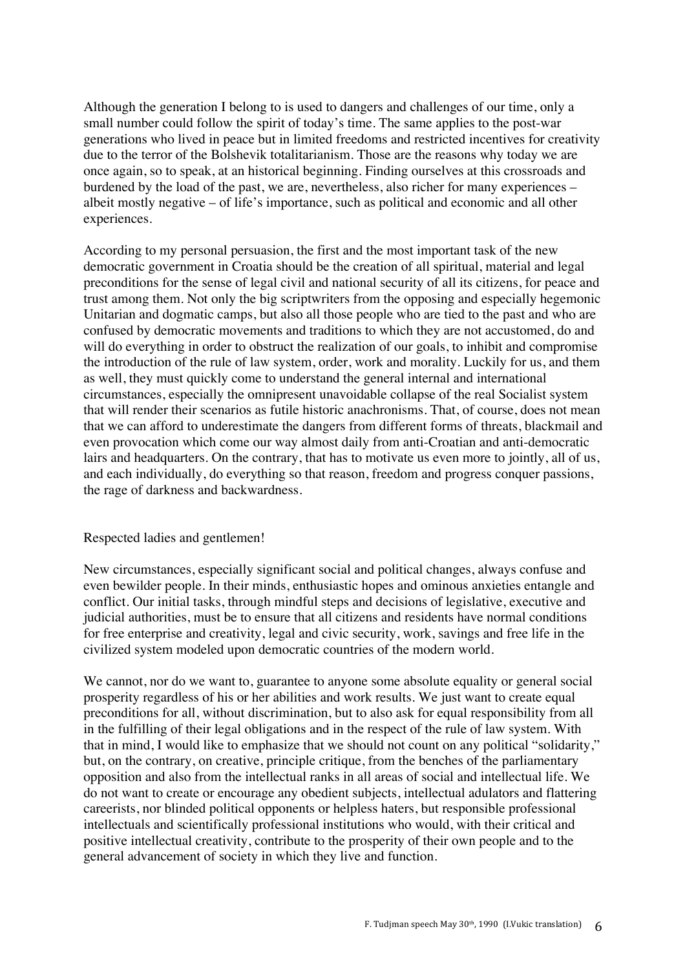Although the generation I belong to is used to dangers and challenges of our time, only a small number could follow the spirit of today's time. The same applies to the post-war generations who lived in peace but in limited freedoms and restricted incentives for creativity due to the terror of the Bolshevik totalitarianism. Those are the reasons why today we are once again, so to speak, at an historical beginning. Finding ourselves at this crossroads and burdened by the load of the past, we are, nevertheless, also richer for many experiences – albeit mostly negative – of life's importance, such as political and economic and all other experiences.

According to my personal persuasion, the first and the most important task of the new democratic government in Croatia should be the creation of all spiritual, material and legal preconditions for the sense of legal civil and national security of all its citizens, for peace and trust among them. Not only the big scriptwriters from the opposing and especially hegemonic Unitarian and dogmatic camps, but also all those people who are tied to the past and who are confused by democratic movements and traditions to which they are not accustomed, do and will do everything in order to obstruct the realization of our goals, to inhibit and compromise the introduction of the rule of law system, order, work and morality. Luckily for us, and them as well, they must quickly come to understand the general internal and international circumstances, especially the omnipresent unavoidable collapse of the real Socialist system that will render their scenarios as futile historic anachronisms. That, of course, does not mean that we can afford to underestimate the dangers from different forms of threats, blackmail and even provocation which come our way almost daily from anti-Croatian and anti-democratic lairs and headquarters. On the contrary, that has to motivate us even more to jointly, all of us, and each individually, do everything so that reason, freedom and progress conquer passions, the rage of darkness and backwardness.

#### Respected ladies and gentlemen!

New circumstances, especially significant social and political changes, always confuse and even bewilder people. In their minds, enthusiastic hopes and ominous anxieties entangle and conflict. Our initial tasks, through mindful steps and decisions of legislative, executive and judicial authorities, must be to ensure that all citizens and residents have normal conditions for free enterprise and creativity, legal and civic security, work, savings and free life in the civilized system modeled upon democratic countries of the modern world.

We cannot, nor do we want to, guarantee to anyone some absolute equality or general social prosperity regardless of his or her abilities and work results. We just want to create equal preconditions for all, without discrimination, but to also ask for equal responsibility from all in the fulfilling of their legal obligations and in the respect of the rule of law system. With that in mind, I would like to emphasize that we should not count on any political "solidarity," but, on the contrary, on creative, principle critique, from the benches of the parliamentary opposition and also from the intellectual ranks in all areas of social and intellectual life. We do not want to create or encourage any obedient subjects, intellectual adulators and flattering careerists, nor blinded political opponents or helpless haters, but responsible professional intellectuals and scientifically professional institutions who would, with their critical and positive intellectual creativity, contribute to the prosperity of their own people and to the general advancement of society in which they live and function.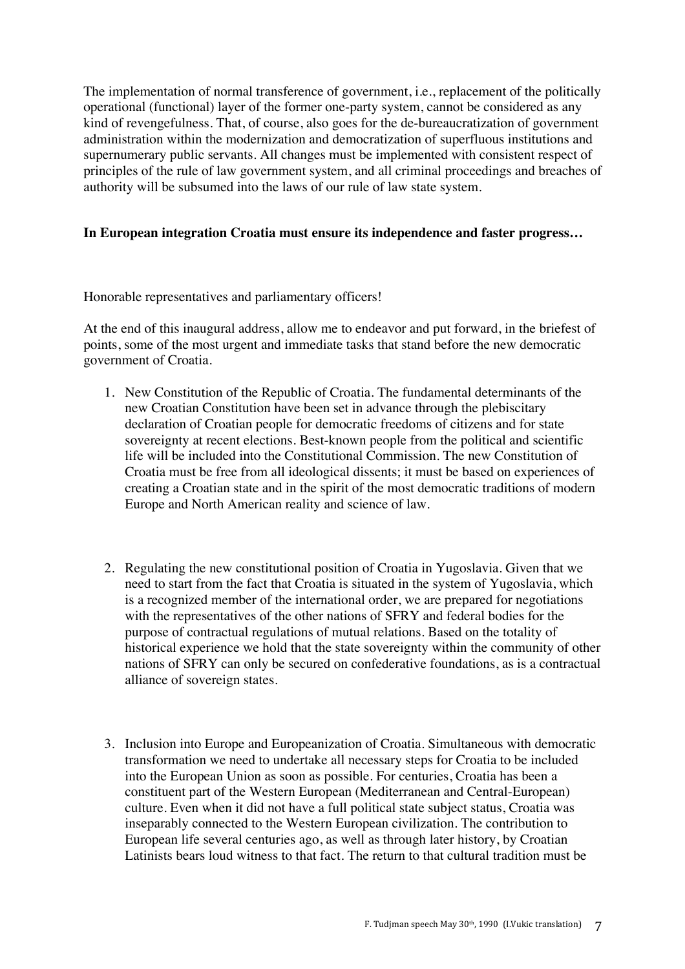The implementation of normal transference of government, i.e., replacement of the politically operational (functional) layer of the former one-party system, cannot be considered as any kind of revengefulness. That, of course, also goes for the de-bureaucratization of government administration within the modernization and democratization of superfluous institutions and supernumerary public servants. All changes must be implemented with consistent respect of principles of the rule of law government system, and all criminal proceedings and breaches of authority will be subsumed into the laws of our rule of law state system.

## **In European integration Croatia must ensure its independence and faster progress…**

Honorable representatives and parliamentary officers!

At the end of this inaugural address, allow me to endeavor and put forward, in the briefest of points, some of the most urgent and immediate tasks that stand before the new democratic government of Croatia.

- 1. New Constitution of the Republic of Croatia. The fundamental determinants of the new Croatian Constitution have been set in advance through the plebiscitary declaration of Croatian people for democratic freedoms of citizens and for state sovereignty at recent elections. Best-known people from the political and scientific life will be included into the Constitutional Commission. The new Constitution of Croatia must be free from all ideological dissents; it must be based on experiences of creating a Croatian state and in the spirit of the most democratic traditions of modern Europe and North American reality and science of law.
- 2. Regulating the new constitutional position of Croatia in Yugoslavia. Given that we need to start from the fact that Croatia is situated in the system of Yugoslavia, which is a recognized member of the international order, we are prepared for negotiations with the representatives of the other nations of SFRY and federal bodies for the purpose of contractual regulations of mutual relations. Based on the totality of historical experience we hold that the state sovereignty within the community of other nations of SFRY can only be secured on confederative foundations, as is a contractual alliance of sovereign states.
- 3. Inclusion into Europe and Europeanization of Croatia. Simultaneous with democratic transformation we need to undertake all necessary steps for Croatia to be included into the European Union as soon as possible. For centuries, Croatia has been a constituent part of the Western European (Mediterranean and Central-European) culture. Even when it did not have a full political state subject status, Croatia was inseparably connected to the Western European civilization. The contribution to European life several centuries ago, as well as through later history, by Croatian Latinists bears loud witness to that fact. The return to that cultural tradition must be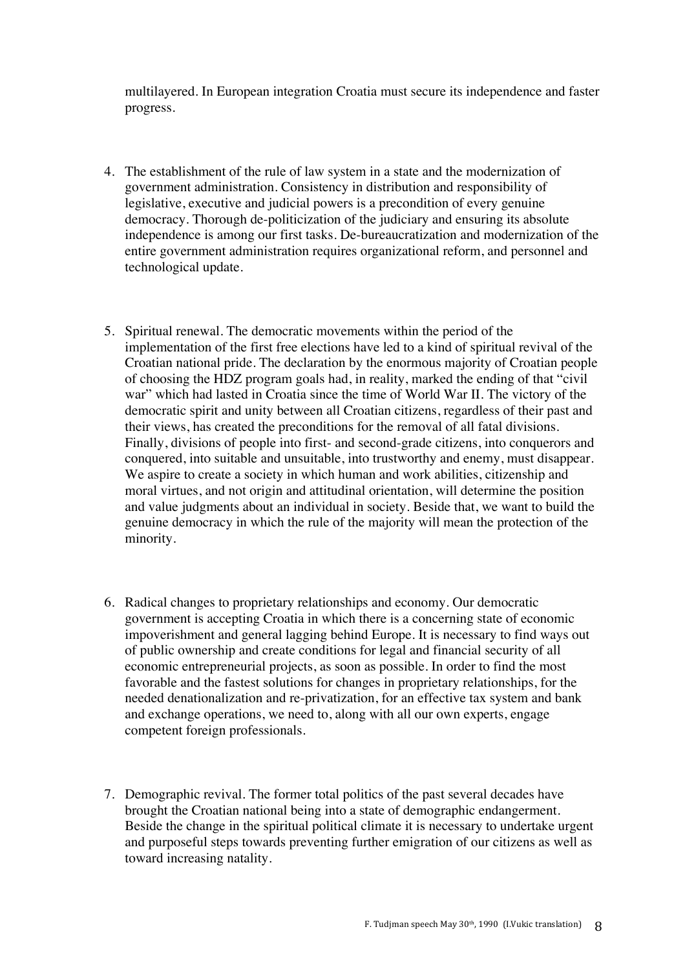multilayered. In European integration Croatia must secure its independence and faster progress.

- 4. The establishment of the rule of law system in a state and the modernization of government administration. Consistency in distribution and responsibility of legislative, executive and judicial powers is a precondition of every genuine democracy. Thorough de-politicization of the judiciary and ensuring its absolute independence is among our first tasks. De-bureaucratization and modernization of the entire government administration requires organizational reform, and personnel and technological update.
- 5. Spiritual renewal. The democratic movements within the period of the implementation of the first free elections have led to a kind of spiritual revival of the Croatian national pride. The declaration by the enormous majority of Croatian people of choosing the HDZ program goals had, in reality, marked the ending of that "civil war" which had lasted in Croatia since the time of World War II. The victory of the democratic spirit and unity between all Croatian citizens, regardless of their past and their views, has created the preconditions for the removal of all fatal divisions. Finally, divisions of people into first- and second-grade citizens, into conquerors and conquered, into suitable and unsuitable, into trustworthy and enemy, must disappear. We aspire to create a society in which human and work abilities, citizenship and moral virtues, and not origin and attitudinal orientation, will determine the position and value judgments about an individual in society. Beside that, we want to build the genuine democracy in which the rule of the majority will mean the protection of the minority.
- 6. Radical changes to proprietary relationships and economy. Our democratic government is accepting Croatia in which there is a concerning state of economic impoverishment and general lagging behind Europe. It is necessary to find ways out of public ownership and create conditions for legal and financial security of all economic entrepreneurial projects, as soon as possible. In order to find the most favorable and the fastest solutions for changes in proprietary relationships, for the needed denationalization and re-privatization, for an effective tax system and bank and exchange operations, we need to, along with all our own experts, engage competent foreign professionals.
- 7. Demographic revival. The former total politics of the past several decades have brought the Croatian national being into a state of demographic endangerment. Beside the change in the spiritual political climate it is necessary to undertake urgent and purposeful steps towards preventing further emigration of our citizens as well as toward increasing natality.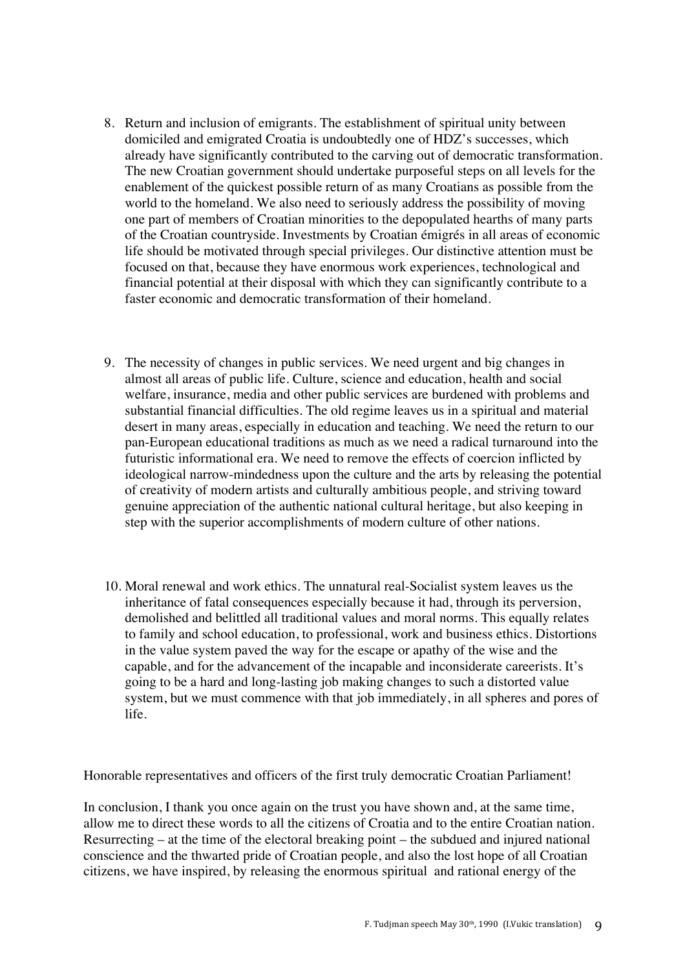- 8. Return and inclusion of emigrants. The establishment of spiritual unity between domiciled and emigrated Croatia is undoubtedly one of HDZ's successes, which already have significantly contributed to the carving out of democratic transformation. The new Croatian government should undertake purposeful steps on all levels for the enablement of the quickest possible return of as many Croatians as possible from the world to the homeland. We also need to seriously address the possibility of moving one part of members of Croatian minorities to the depopulated hearths of many parts of the Croatian countryside. Investments by Croatian émigrés in all areas of economic life should be motivated through special privileges. Our distinctive attention must be focused on that, because they have enormous work experiences, technological and financial potential at their disposal with which they can significantly contribute to a faster economic and democratic transformation of their homeland.
- 9. The necessity of changes in public services. We need urgent and big changes in almost all areas of public life. Culture, science and education, health and social welfare, insurance, media and other public services are burdened with problems and substantial financial difficulties. The old regime leaves us in a spiritual and material desert in many areas, especially in education and teaching. We need the return to our pan-European educational traditions as much as we need a radical turnaround into the futuristic informational era. We need to remove the effects of coercion inflicted by ideological narrow-mindedness upon the culture and the arts by releasing the potential of creativity of modern artists and culturally ambitious people, and striving toward genuine appreciation of the authentic national cultural heritage, but also keeping in step with the superior accomplishments of modern culture of other nations.
- 10. Moral renewal and work ethics. The unnatural real-Socialist system leaves us the inheritance of fatal consequences especially because it had, through its perversion, demolished and belittled all traditional values and moral norms. This equally relates to family and school education, to professional, work and business ethics. Distortions in the value system paved the way for the escape or apathy of the wise and the capable, and for the advancement of the incapable and inconsiderate careerists. It's going to be a hard and long-lasting job making changes to such a distorted value system, but we must commence with that job immediately, in all spheres and pores of life.

Honorable representatives and officers of the first truly democratic Croatian Parliament!

In conclusion, I thank you once again on the trust you have shown and, at the same time, allow me to direct these words to all the citizens of Croatia and to the entire Croatian nation. Resurrecting – at the time of the electoral breaking point – the subdued and injured national conscience and the thwarted pride of Croatian people, and also the lost hope of all Croatian citizens, we have inspired, by releasing the enormous spiritual and rational energy of the